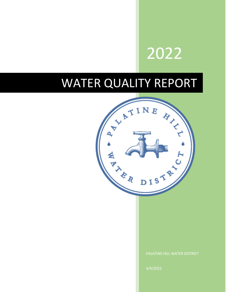# 2022

## WATER QUALITY REPORT

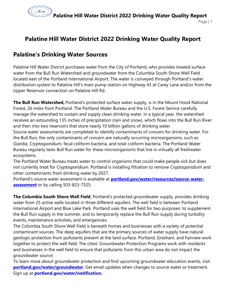

## **Palatine Hill Water District 2022 Drinking Water Quality Report**

## **Palatine's Drinking Water Sources**

Palatine Hill Water District purchases water from the City of Portland, who provides treated surface water from the Bull Run Watershed and groundwater from the Columbia South Shore Well Field located east of the Portland International Airport. The water is conveyed through Portland's water distribution system to Palatine Hill's main pump station on Highway 43 at Carey Lane and/or from the Upper Reservoir connection on Palatine Hill Rd.

**The Bull Run Watershed,** Portland's protected surface water supply, is in the Mount Hood National Forest, 26 miles from Portland. The Portland Water Bureau and the U.S. Forest Service carefully manage the watershed to sustain and supply clean drinking water. In a typical year, the watershed receives an astounding 135 inches of precipitation (rain and snow), which flows into the Bull Run River and then into two reservoirs that store nearly 10 billion gallons of drinking water.

Source water assessments are completed to identify contaminants of concern for drinking water. For the Bull Run, the only contaminants of concern are naturally occurring microorganisms, such as *Giardia, Cryptosporidium*, fecal coliform bacteria, and total coliform bacteria. The Portland Water Bureau regularly tests Bull Run water for these microorganisms that live in virtually all freshwater ecosystems.

The Portland Water Bureau treats water to control organisms that could make people sick but does not currently treat for *Cryptosporidium*. Portland is installing filtration to remove *Cryptosporidium* and other contaminants from drinking water by 2027.

Portland's source water assessment is available at **[portland.gov/water/resources/source-water](http://www.portland.gov/water/resources/source-water-assessment)[assessment](http://www.portland.gov/water/resources/source-water-assessment)** or by calling 503-823-7525.

**The Columbia South Shore Well Field**, Portland's protected groundwater supply, provides drinking water from 25 active wells located in three different aquifers. The well field is between Portland International Airport and Blue Lake Park. Portland uses the well field for two purposes: to supplement the Bull Run supply in the summer, and to temporarily replace the Bull Run supply during turbidity events, maintenance activities, and emergencies.

The Columbia South Shore Well Field is beneath homes and businesses with a variety of potential contaminant sources. The deep aquifers that are the primary sources of water supply have natural geologic protection from pollutants present at the land surface. Portland, Gresham, and Fairview work together to protect the well field. The cities' Groundwater Protection Programs work with residents and businesses in the well field to ensure that pollutants from this urban area do not impact the groundwater source.

To learn more about groundwater protection and find upcoming groundwater education events, visit **[portland.gov/water/groundwater](http://www.portlandoregon.gov/water/groundwater)**. Get email updates when changes to source water or treatment. Sign up at **portland.gov/water/notification.**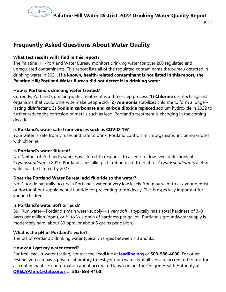

## **Frequently Asked Questions About Water Quality**

#### **What test results will I find in this report?**

The Palatine Hill/Portland Water Bureau monitors drinking water for over 200 regulated and unregulated contaminants. This report lists all of the regulated contaminants the bureau detected in drinking water in 2021. **If a known, health-related contaminant is not listed in this report, the Palatine Hill/Portland Water Bureau did not detect it in drinking water.**

#### **How is Portland's drinking water treated?**

Currently, Portland's drinking water treatment is a three-step process. **1) Chlorine** disinfects against organisms that could otherwise make people sick. **2) Ammonia** stabilizes chlorine to form a longerlasting disinfectant. **3) Sodium carbonate and carbon dioxide** replaced sodium hydroxide in 2022 to further reduce the corrosion of metals such as lead. Portland's treatment is changing in the coming decade.

#### **Is Portland's water safe from viruses such as COVID-19?**

Your water is safe from viruses and safe to drink. Portland controls microorganisms, including viruses, with chlorine

#### **Is Portland's water filtered?**

No. Neither of Portland's sources is filtered. In response to a series of low-level detections of *Cryptosporidium* in 2017, Portland is installing a filtration plant to treat for *Cryptosporidium*. Bull Run water will be filtered by 2027.

#### **Does the Portland Water Bureau add fluoride to the water?**

No. Fluoride naturally occurs in Portland's water at very low levels. You may want to ask your dentist or doctor about supplemental fluoride for preventing tooth decay. This is especially important for young children.

#### **Is Portland's water soft or hard?**

Bull Run water—Portland's main water supply—is very soft. It typically has a total hardness of 3–8 parts per million (ppm), or  $\frac{1}{4}$  to  $\frac{1}{2}$  a grain of hardness per gallon. Portland's groundwater supply is moderately hard: about 80 ppm, or about 5 grains per gallon.

#### **What is the pH of Portland's water?**

The pH of Portland's drinking water typically ranges between 7.8 and 8.5.

#### **How can I get my water tested?**

For free lead-in-water testing, contact the LeadLine at **[leadline.org](http://www.leadline.org/)** or **503-988-4000**. For other testing, you can pay a private laboratory to test your tap water. Not all labs are accredited to test for all contaminants. For information about accredited labs, contact the Oregon Health Authority at **[ORELAP.Info@state.or.us](mailto:ORELAP.Info@state.or.us)** or **503-693-4100**.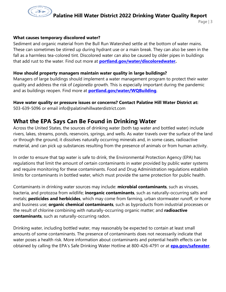

#### **What causes temporary discolored water?**

Sediment and organic material from the Bull Run Watershed settle at the bottom of water mains. These can sometimes be stirred up during hydrant use or a main break. They can also be seen in the fall as a harmless tea-colored tint. Discolored water can also be caused by older pipes in buildings that add rust to the water. Find out more at **[portland.gov/water/discoloredwater.](http://www.portlandoregon.gov/water/discoloredwater)**

#### **How should property managers maintain water quality in large buildings?**

Managers of large buildings should implement a water management program to protect their water quality and address the risk of *Legionella* growth. This is especially important during the pandemic and as buildings reopen. Find more at **[portland.gov/water/WQBuilding](http://www.portland.gov/water/WQBuilding)**.

#### **Have water quality or pressure issues or concerns? Contact Palatine Hill Water District at:**

503-639-5096 or email info@palatinehillwaterdistrict.com

### **What the EPA Says Can Be Found in Drinking Water**

Across the United States, the sources of drinking water (both tap water and bottled water) include rivers, lakes, streams, ponds, reservoirs, springs, and wells. As water travels over the surface of the land or through the ground, it dissolves naturally occurring minerals and, in some cases, radioactive material, and can pick up substances resulting from the presence of animals or from human activity.

In order to ensure that tap water is safe to drink, the Environmental Protection Agency (EPA) has regulations that limit the amount of certain contaminants in water provided by public water systems and require monitoring for these contaminants. Food and Drug Administration regulations establish limits for contaminants in bottled water, which must provide the same protection for public health.

Contaminants in drinking water sources may include: **microbial contaminants**, such as viruses, bacteria, and protozoa from wildlife; **inorganic contaminants**, such as naturally-occurring salts and metals; **pesticides and herbicides**, which may come from farming, urban stormwater runoff, or home and business use; **organic chemical contaminants**, such as byproducts from industrial processes or the result of chlorine combining with naturally-occurring organic matter; and **radioactive contaminants**, such as naturally-occurring radon.

Drinking water, including bottled water, may reasonably be expected to contain at least small amounts of some contaminants. The presence of contaminants does not necessarily indicate that water poses a health risk. More information about contaminants and potential health effects can be obtained by calling the EPA's Safe Drinking Water Hotline at 800-426-4791 or at **[epa.gov/safewater](http://www.epa.gov/safewater)**.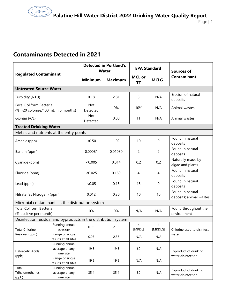## **Contaminants Detected in 2021**

| <b>Regulated Contaminant</b>                                    |                                              | <b>Detected in Portland's</b><br><b>Water</b> |                | <b>EPA Standard</b> |                | <b>Sources of</b>                           |  |
|-----------------------------------------------------------------|----------------------------------------------|-----------------------------------------------|----------------|---------------------|----------------|---------------------------------------------|--|
|                                                                 |                                              | <b>Minimum</b>                                | <b>Maximum</b> | <b>MCL or</b><br>ΤT | <b>MCLG</b>    | <b>Contaminant</b>                          |  |
| <b>Untreated Source Water</b>                                   |                                              |                                               |                |                     |                |                                             |  |
| Turbidity (NTU)                                                 |                                              | 0.18                                          | 2.81           | 5                   | N/A            | Erosion of natural<br>deposits              |  |
| Fecal Coliform Bacteria<br>$% >20$ colonies/100 mL in 6 months) |                                              | Not<br>Detected                               | 0%             | 10%                 | N/A            | Animal wastes                               |  |
| Giardia (#/L)                                                   |                                              | <b>Not</b><br>Detected                        | 0.08           | TT                  | N/A            | Animal wastes                               |  |
| <b>Treated Drinking Water</b>                                   |                                              |                                               |                |                     |                |                                             |  |
| Metals and nutrients at the entry points                        |                                              |                                               |                |                     |                |                                             |  |
| Arsenic (ppb)                                                   |                                              | < 0.50                                        | 1.02           | 10                  | $\mathbf 0$    | Found in natural<br>deposits                |  |
| Barium (ppm)                                                    |                                              | 0.00081                                       | 0.01030        | 2                   | $\overline{2}$ | Found in natural<br>deposits                |  |
| Cyanide (ppm)                                                   |                                              | < 0.005                                       | 0.014          | 0.2                 | 0.2            | Naturally made by<br>algae and plants       |  |
| Fluoride (ppm)                                                  |                                              | < 0.025                                       | 0.160          | 4                   | 4              | Found in natural<br>deposits                |  |
| Lead (ppm)                                                      |                                              | < 0.05                                        | 0.15           | 15                  | $\mathbf 0$    | Found in natural<br>deposits                |  |
| Nitrate (as Nitrogen) (ppm)                                     |                                              | 0.012                                         | 0.30           | 10                  | 10             | Found in natural<br>deposits; animal wastes |  |
| Microbial contaminants in the distribution system               |                                              |                                               |                |                     |                |                                             |  |
| <b>Total Coliform Bacteria</b><br>(% positive per month)        |                                              | 0%                                            | 0%             | N/A                 | N/A            | Found throughout the<br>environment         |  |
| Disinfection residual and byproducts in the distribution system |                                              |                                               |                |                     |                |                                             |  |
| <b>Total Chlorine</b><br>Residual (ppm)                         | Running annual<br>average                    | 0.03                                          | 2.36           | 4<br>[MRDL]         | 4<br>[MRDLG]   | Chlorine used to disinfect<br>water         |  |
|                                                                 | Range of single<br>results at all sites      | 0.03                                          | 2.36           | N/A                 | N/A            |                                             |  |
| Haloacetic Acids<br>(ppb)                                       | Running annual<br>average at any<br>one site | 19.5                                          | 19.5           | 60                  | N/A            | Byproduct of drinking<br>water disinfection |  |
|                                                                 | Range of single<br>results at all sites      | 19.5                                          | 19.5           | N/A                 | N/A            |                                             |  |
| Total<br>Trihalomethanes<br>(ppb)                               | Running annual<br>average at any<br>one site | 35.4                                          | 35.4           | 80                  | N/A            | Byproduct of drinking<br>water disinfection |  |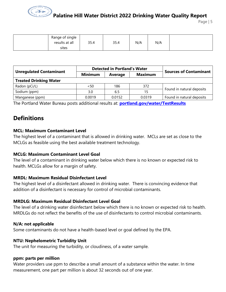

Page | 5

| Range of single<br>results at all<br>sites | 35.4 | 35.4 | N/A | N/A |  |  |
|--------------------------------------------|------|------|-----|-----|--|--|
|--------------------------------------------|------|------|-----|-----|--|--|

|                                |                | <b>Detected in Portland's Water</b> | <b>Sources of Contaminant</b> |                           |  |  |  |
|--------------------------------|----------------|-------------------------------------|-------------------------------|---------------------------|--|--|--|
| <b>Unregulated Contaminant</b> | <b>Minimum</b> | Average                             | <b>Maximum</b>                |                           |  |  |  |
| <b>Treated Drinking Water</b>  |                |                                     |                               |                           |  |  |  |
| Radon (pCi/L)                  | < 50           | 186                                 | 372                           | Found in natural deposits |  |  |  |
| Sodium (ppm)                   | 3.0            | 6.5                                 | 15                            |                           |  |  |  |
| Manganese (ppm)                | 0.0019         | 0.0152                              | 0.0319                        | Found in natural deposits |  |  |  |

The Portland Water Bureau posts additional results at: **[portland.gov/water/TestResults](http://www.portland.gov/water/TestResults)**

### **Definitions**

#### **MCL: Maximum Contaminant Level**

The highest level of a contaminant that is allowed in drinking water. MCLs are set as close to the MCLGs as feasible using the best available treatment technology.

#### **MCLG: Maximum Contaminant Level Goal**

The level of a contaminant in drinking water below which there is no known or expected risk to health. MCLGs allow for a margin of safety.

#### **MRDL: Maximum Residual Disinfectant Level**

The highest level of a disinfectant allowed in drinking water. There is convincing evidence that addition of a disinfectant is necessary for control of microbial contaminants.

#### **MRDLG: Maximum Residual Disinfectant Level Goal**

The level of a drinking water disinfectant below which there is no known or expected risk to health. MRDLGs do not reflect the benefits of the use of disinfectants to control microbial contaminants.

#### **N/A: not applicable**

Some contaminants do not have a health-based level or goal defined by the EPA.

#### **NTU: Nephelometric Turbidity Unit**

The unit for measuring the turbidity, or cloudiness, of a water sample.

#### **ppm: parts per million**

Water providers use ppm to describe a small amount of a substance within the water. In time measurement, one part per million is about 32 seconds out of one year.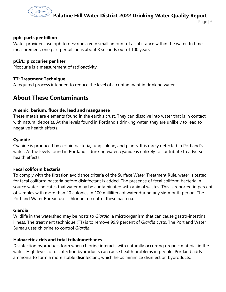

#### **ppb: parts per billion**

Water providers use ppb to describe a very small amount of a substance within the water. In time measurement, one part per billion is about 3 seconds out of 100 years.

#### **pCi/L: picocuries per liter**

Picocurie is a measurement of radioactivity.

#### **TT: Treatment Technique**

A required process intended to reduce the level of a contaminant in drinking water.

## **About These Contaminants**

#### **Arsenic, barium, fluoride, lead and manganese**

These metals are elements found in the earth's crust. They can dissolve into water that is in contact with natural deposits. At the levels found in Portland's drinking water, they are unlikely to lead to negative health effects.

#### **Cyanide**

Cyanide is produced by certain bacteria, fungi, algae, and plants. It is rarely detected in Portland's water. At the levels found in Portland's drinking water, cyanide is unlikely to contribute to adverse health effects.

#### **Fecal coliform bacteria**

To comply with the filtration avoidance criteria of the Surface Water Treatment Rule, water is tested for fecal coliform bacteria before disinfectant is added. The presence of fecal coliform bacteria in source water indicates that water may be contaminated with animal wastes. This is reported in percent of samples with more than 20 colonies in 100 milliliters of water during any six-month period. The Portland Water Bureau uses chlorine to control these bacteria.

#### **Giardia**

Wildlife in the watershed may be hosts to *Giardia*, a microorganism that can cause gastro-intestinal illness. The treatment technique (TT) is to remove 99.9 percent of *Giardia* cysts. The Portland Water Bureau uses chlorine to control *Giardia*.

#### **Haloacetic acids and total trihalomethanes**

Disinfection byproducts form when chlorine interacts with naturally occurring organic material in the water. High levels of disinfection byproducts can cause health problems in people. Portland adds ammonia to form a more stable disinfectant, which helps minimize disinfection byproducts.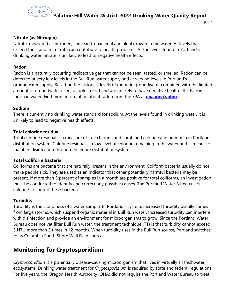

#### **Nitrate (as Nitrogen)**

Nitrate, measured as nitrogen, can lead to bacterial and algal growth in the water. At levels that exceed the standard, nitrate can contribute to health problems. At the levels found in Portland's drinking water, nitrate is unlikely to lead to negative health effects.

#### **Radon**

Radon is a naturally occurring radioactive gas that cannot be seen, tasted, or smelled. Radon can be detected at very low levels in the Bull Run water supply and at varying levels in Portland's groundwater supply. Based on the historical levels of radon in groundwater combined with the limited amount of groundwater used, people in Portland are unlikely to have negative health effects from radon in water. Find more information about radon from the EPA at **epa.gov/radon**.

#### **Sodium**

There is currently no drinking water standard for sodium. At the levels found in drinking water, it is unlikely to lead to negative health effects.

#### **Total chlorine residual**

Total chlorine residual is a measure of free chlorine and combined chlorine and ammonia in Portland's distribution system. Chlorine residual is a low level of chlorine remaining in the water and is meant to maintain disinfection through the entire distribution system.

#### **Total Coliform bacteria**

Coliforms are bacteria that are naturally present in the environment. Coliform bacteria usually do not make people sick. They are used as an indicator that other potentially harmful bacteria may be present. If more than 5 percent of samples in a month are positive for total coliforms, an investigation must be conducted to identify and correct any possible causes. The Portland Water Bureau uses chlorine to control these bacteria.

#### **Turbidity**

Turbidity is the cloudiness of a water sample. In Portland's system, increased turbidity usually comes from large storms, which suspend organic material in Bull Run water. Increased turbidity can interfere with disinfection and provide an environment for microorganisms to grow. Since the Portland Water Bureau does not yet filter Bull Run water, the treatment technique (TT) is that turbidity cannot exceed 5 NTU more than 2 times in 12 months. When turbidity rises in the Bull Run source, Portland switches to its Columbia South Shore Well Field source.

### **Monitoring for Cryptosporidium**

*Cryptosporidium* is a potentially disease-causing microorganism that lives in virtually all freshwater ecosystems. Drinking water treatment for *Cryptosporidium* is required by state and federal regulations. For five years, the Oregon Health Authority (OHA) did not require the Portland Water Bureau to treat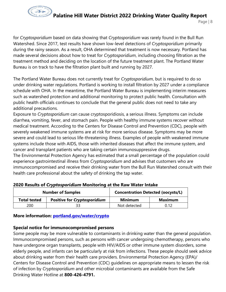

Page | 8

for *Cryptosporidium* based on data showing that *Cryptosporidium* was rarely found in the Bull Run Watershed. Since 2017, test results have shown low-level detections of *Cryptosporidium* primarily during the rainy season. As a result, OHA determined that treatment is now necessary. Portland has made several decisions about how to treat for *Cryptosporidium*, including choosing filtration as the treatment method and deciding on the location of the future treatment plant. The Portland Water Bureau is on track to have the filtration plant built and running by 2027.

The Portland Water Bureau does not currently treat for *Cryptosporidium*, but is required to do so under drinking water regulations. Portland is working to install filtration by 2027 under a compliance schedule with OHA. In the meantime, the Portland Water Bureau is implementing interim measures such as watershed protection and additional monitoring to protect public health. Consultation with public health officials continues to conclude that the general public does not need to take any additional precautions.

Exposure to *Cryptosporidium* can cause cryptosporidiosis, a serious illness. Symptoms can include diarrhea, vomiting, fever, and stomach pain. People with healthy immune systems recover without medical treatment. According to the Centers for Disease Control and Prevention (CDC), people with severely weakened immune systems are at risk for more serious disease. Symptoms may be more severe and could lead to serious life-threatening illness. Examples of people with weakened immune systems include those with AIDS, those with inherited diseases that affect the immune system, and cancer and transplant patients who are taking certain immunosuppressive drugs.

The Environmental Protection Agency has estimated that a small percentage of the population could experience gastrointestinal illness from *Cryptosporidium* and advises that customers who are immunocompromised and receive their drinking water from the Bull Run Watershed consult with their health care professional about the safety of drinking the tap water.

|                     | <b>Number of Samples</b>            | <b>Concentration Detected (oocysts/L)</b> |                |  |
|---------------------|-------------------------------------|-------------------------------------------|----------------|--|
| <b>Total tested</b> | <b>Positive for Cryptosporidium</b> | <b>Minimum</b>                            | <b>Maximum</b> |  |
| 200                 |                                     | Not detected                              | 0.12           |  |

#### **2020 Results of** *Cryptosporidium* **Monitoring at the Raw Water Intake**

#### **More information: [portland.gov/water/crypto](http://www.portlandoregon.gov/water/crypto)**

#### **Special notice for immunocompromised persons**

Some people may be more vulnerable to contaminants in drinking water than the general population. Immunocompromised persons, such as persons with cancer undergoing chemotherapy, persons who have undergone organ transplants, people with HIV/AIDS or other immune system disorders, some elderly people, and infants can be particularly at risk from infections. These people should seek advice about drinking water from their health care providers. Environmental Protection Agency (EPA)/ Centers for Disease Control and Prevention (CDC) guidelines on appropriate means to lessen the risk of infection by *Cryptosporidium* and other microbial contaminants are available from the Safe Drinking Water Hotline at **800-426-4791.**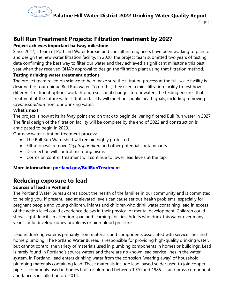

## **Bull Run Treatment Projects: Filtration treatment by 2027**

#### **Project achieves important halfway milestone**

Since 2017, a team of Portland Water Bureau and consultant engineers have been working to plan for and design the new water filtration facility. In 2020, the project team submitted two years of testing data confirming the best way to filter our water and they achieved a significant milestone this past year when they received OHA's approval to design the filtration plant using that filtration method.

#### **Testing drinking water treatment options**

The project team relied on science to help make sure the filtration process at the full-scale facility is designed for our unique Bull Run water. To do this, they used a mini-filtration facility to test how different treatment options work through seasonal changes to our water. The testing ensures that treatment at the future water filtration facility will meet our public heath goals, including removing *Cryptosporidium* from our drinking water.

#### **What's next**

The project is now at its halfway point and on track to begin delivering filtered Bull Run water in 2027. The final design of the filtration facility will be complete by the end of 2022 and construction is anticipated to begin in 2023.

Our new water filtration treatment process:

- The Bull Run Watershed will remain highly protected.
- Filtration will remove *Cryptosporidium* and other potential contaminants.
- Disinfection will control microorganisms.
- Corrosion control treatment will continue to lower lead levels at the tap.

#### **More information: [portland.gov/BullRunTreatment](http://www.portlandoregon.gov/water/BullRunTreatment)**

## **Reducing exposure to lead**

#### **Sources of lead in Portland**

The Portland Water Bureau cares about the health of the families in our community and is committed to helping you. If present, lead at elevated levels can cause serious health problems, especially for pregnant people and young children. Infants and children who drink water containing lead in excess of the action level could experience delays in their physical or mental development. Children could show slight deficits in attention span and learning abilities. Adults who drink this water over many years could develop kidney problems or high blood pressure.

Lead in drinking water is primarily from materials and components associated with service lines and home plumbing. The Portland Water Bureau is responsible for providing high-quality drinking water, but cannot control the variety of materials used in plumbing components in homes or buildings. Lead is rarely found in Portland's source waters and there are no known lead service lines in the water system. In Portland, lead enters drinking water from the corrosion (wearing away) of household plumbing materials containing lead. These materials include lead-based solder used to join copper pipe — commonly used in homes built or plumbed between 1970 and 1985 — and brass components and faucets installed before 2014.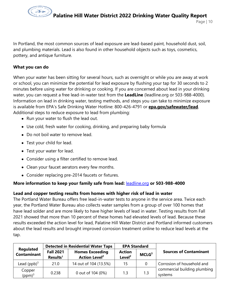

In Portland, the most common sources of lead exposure are lead-based paint, household dust, soil, and plumbing materials. Lead is also found in other household objects such as toys, cosmetics, pottery, and antique furniture.

#### **What you can do**

When your water has been sitting for several hours, such as overnight or while you are away at work or school, you can minimize the potential for lead exposure by flushing your tap for 30 seconds to 2 minutes before using water for drinking or cooking. If you are concerned about lead in your drinking water, you can request a free lead-in-water test from the **LeadLine** (leadline.org or 503-988-4000). Information on lead in drinking water, testing methods, and steps you can take to minimize exposure is available from EPA's Safe Drinking Water Hotline: 800-426-4791 or **[epa.gov/safewater/lead](http://www.epa.gov/safewater/lead)**. Additional steps to reduce exposure to lead from plumbing:

- Run your water to flush the lead out.
- Use cold, fresh water for cooking, drinking, and preparing baby formula
- Do not boil water to remove lead.
- Test your child for lead.
- Test your water for lead.
- Consider using a filter certified to remove lead.
- Clean your faucet aerators every few months.
- Consider replacing pre-2014 faucets or fixtures.

#### **More information to keep your family safe from lead:** [leadline.org](http://www.leadline.org/) **or 503-988-4000**

#### **Lead and copper testing results from homes with higher risk of lead in water**

The Portland Water Bureau offers free lead-in-water tests to anyone in the service area. Twice each year, the Portland Water Bureau also collects water samples from a group of over 100 homes that have lead solder and are more likely to have higher levels of lead in water. Testing results from Fall 2021 showed that more than 10 percent of these homes had elevated levels of lead. Because these results exceeded the action level for lead, Palatine Hill Water District and Portland informed customers about the lead results and brought improved corrosion treatment online to reduce lead levels at the tap.

|                                        | <b>Detected in Residential Water Taps</b> |                                                           | <b>EPA Standard</b>                 |                   |                                         |  |
|----------------------------------------|-------------------------------------------|-----------------------------------------------------------|-------------------------------------|-------------------|-----------------------------------------|--|
| <b>Regulated</b><br><b>Contaminant</b> | <b>Fall 2021</b><br>Results <sup>1</sup>  | <b>Homes Exceeding</b><br><b>Action Level<sup>2</sup></b> | <b>Action</b><br>Level <sup>2</sup> | MCLG <sup>3</sup> | <b>Sources of Contaminant</b>           |  |
| Lead $(ppb)^3$                         | 21.0                                      | 14 out of 104 (13.5%)                                     | 15                                  |                   | Corrosion of household and              |  |
| Copper<br>$(ppm)^3$                    | 0.238                                     | 0 out of 104 (0%)                                         | 1.3                                 | 1.3               | commercial building plumbing<br>systems |  |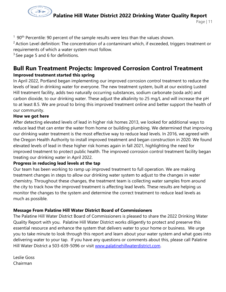

 $190<sup>th</sup>$  Percentile: 90 percent of the sample results were less than the values shown.

 $2$  Action Level definition: The concentration of a contaminant which, if exceeded, triggers treatment or requirements of which a water system must follow.

 $3$  See page 5 and 6 for definitions.

#### **Bull Run Treatment Projects: Improved Corrosion Control Treatment Improved treatment started this spring**

In April 2022, Portland began implementing our improved corrosion control treatment to reduce the levels of lead in drinking water for everyone. The new treatment system, built at our existing Lusted Hill treatment facility, adds two naturally occurring substances, sodium carbonate (soda ash) and carbon dioxide, to our drinking water. These adjust the alkalinity to 25 mg/L and will increase the pH to at least 8.5. We are proud to bring this improved treatment online and better support the health of our community.

#### **How we got here**

After detecting elevated levels of lead in higher risk homes 2013, we looked for additional ways to reduce lead that can enter the water from home or building plumbing. We determined that improving our drinking water treatment is the most effective way to reduce lead levels. In 2016, we agreed with the Oregon Health Authority to install improved treatment and began construction in 2020. We found elevated levels of lead in these higher risk homes again in fall 2021, highlighting the need for improved treatment to protect public health. The improved corrosion control treatment facility began treating our drinking water in April 2022.

#### **Progress in reducing lead levels at the tap**

Our team has been working to ramp up improved treatment to full operation. We are making treatment changes in steps to allow our drinking water system to adjust to the changes in water chemistry. Throughout these changes, the treatment team is collecting water samples from around the city to track how the improved treatment is affecting lead levels. These results are helping us monitor the changes to the system and determine the correct treatment to reduce lead levels as much as possible.

#### **Message From Palatine Hill Water District Board of Commissioners**

The Palatine Hill Water District Board of Commissioners is pleased to share the 2022 Drinking Water Quality Report with you. Palatine Hill Water District works diligently to protect and preserve this essential resource and enhance the system that delivers water to your home or business. We urge you to take minute to look through this report and learn about your water system and what goes into delivering water to your tap. If you have any questions or comments about this, please call Palatine Hill Water District a 503-639-5096 or visit [www.palatinehillwaterdistrict.com.](http://www.palatinehillwaterdistrict.com/)

Leslie Goss Chairman